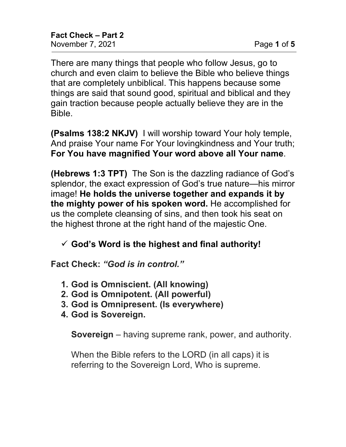There are many things that people who follow Jesus, go to church and even claim to believe the Bible who believe things that are completely unbiblical. This happens because some things are said that sound good, spiritual and biblical and they gain traction because people actually believe they are in the Bible.

**(Psalms 138:2 NKJV)** I will worship toward Your holy temple, And praise Your name For Your lovingkindness and Your truth; **For You have magnified Your word above all Your name**.

**(Hebrews 1:3 TPT)** The Son is the dazzling radiance of God's splendor, the exact expression of God's true nature—his mirror image! **He holds the universe together and expands it by the mighty power of his spoken word.** He accomplished for us the complete cleansing of sins, and then took his seat on the highest throne at the right hand of the majestic One.

## **God's Word is the highest and final authority!**

**Fact Check:** *"God is in control."*

- **1. God is Omniscient. (All knowing)**
- **2. God is Omnipotent. (All powerful)**
- **3. God is Omnipresent. (Is everywhere)**
- **4. God is Sovereign.**

**Sovereign** – having supreme rank, power, and authority.

When the Bible refers to the LORD (in all caps) it is referring to the Sovereign Lord, Who is supreme.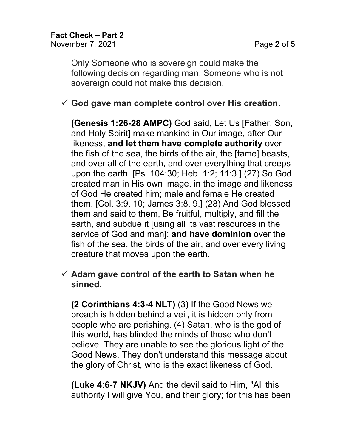Only Someone who is sovereign could make the following decision regarding man. Someone who is not sovereign could not make this decision.

## **God gave man complete control over His creation.**

**(Genesis 1:26-28 AMPC)** God said, Let Us [Father, Son, and Holy Spirit] make mankind in Our image, after Our likeness, **and let them have complete authority** over the fish of the sea, the birds of the air, the [tame] beasts, and over all of the earth, and over everything that creeps upon the earth. [Ps. 104:30; Heb. 1:2; 11:3.] (27) So God created man in His own image, in the image and likeness of God He created him; male and female He created them. [Col. 3:9, 10; James 3:8, 9.] (28) And God blessed them and said to them, Be fruitful, multiply, and fill the earth, and subdue it [using all its vast resources in the service of God and man]; **and have dominion** over the fish of the sea, the birds of the air, and over every living creature that moves upon the earth.

## **Adam gave control of the earth to Satan when he sinned.**

**(2 Corinthians 4:3-4 NLT)** (3) If the Good News we preach is hidden behind a veil, it is hidden only from people who are perishing. (4) Satan, who is the god of this world, has blinded the minds of those who don't believe. They are unable to see the glorious light of the Good News. They don't understand this message about the glory of Christ, who is the exact likeness of God.

**(Luke 4:6-7 NKJV)** And the devil said to Him, "All this authority I will give You, and their glory; for this has been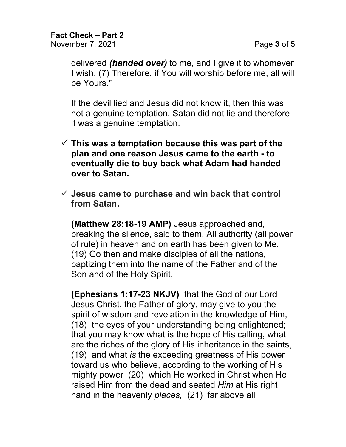delivered *(handed over)* to me, and I give it to whomever I wish. (7) Therefore, if You will worship before me, all will be Yours."

If the devil lied and Jesus did not know it, then this was not a genuine temptation. Satan did not lie and therefore it was a genuine temptation.

- **This was a temptation because this was part of the plan and one reason Jesus came to the earth - to eventually die to buy back what Adam had handed over to Satan.**
- **Jesus came to purchase and win back that control from Satan.**

**(Matthew 28:18-19 AMP)** Jesus approached and, breaking the silence, said to them, All authority (all power of rule) in heaven and on earth has been given to Me. (19) Go then and make disciples of all the nations, baptizing them into the name of the Father and of the Son and of the Holy Spirit,

**(Ephesians 1:17-23 NKJV)** that the God of our Lord Jesus Christ, the Father of glory, may give to you the spirit of wisdom and revelation in the knowledge of Him, (18) the eyes of your understanding being enlightened; that you may know what is the hope of His calling, what are the riches of the glory of His inheritance in the saints, (19) and what *is* the exceeding greatness of His power toward us who believe, according to the working of His mighty power (20) which He worked in Christ when He raised Him from the dead and seated *Him* at His right hand in the heavenly *places,* (21) far above all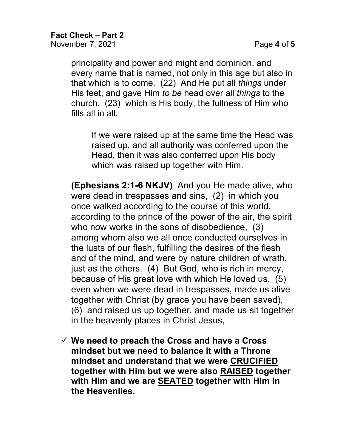principality and power and might and dominion, and every name that is named, not only in this age but also in that which is to come. (22) And He put all *things* under His feet, and gave Him *to be* head over all *things* to the church, (23) which is His body, the fullness of Him who fills all in all.

If we were raised up at the same time the Head was raised up, and all authority was conferred upon the Head, then it was also conferred upon His body which was raised up together with Him.

**(Ephesians 2:1-6 NKJV)** And you He made alive, who were dead in trespasses and sins, (2) in which you once walked according to the course of this world, according to the prince of the power of the air, the spirit who now works in the sons of disobedience, (3) among whom also we all once conducted ourselves in the lusts of our flesh, fulfilling the desires of the flesh and of the mind, and were by nature children of wrath, just as the others. (4) But God, who is rich in mercy, because of His great love with which He loved us, (5) even when we were dead in trespasses, made us alive together with Christ (by grace you have been saved), (6) and raised us up together, and made us sit together in the heavenly places in Christ Jesus,

 **We need to preach the Cross and have a Cross mindset but we need to balance it with a Throne mindset and understand that we were CRUCIFIED together with Him but we were also RAISED together with Him and we are SEATED together with Him in the Heavenlies.**